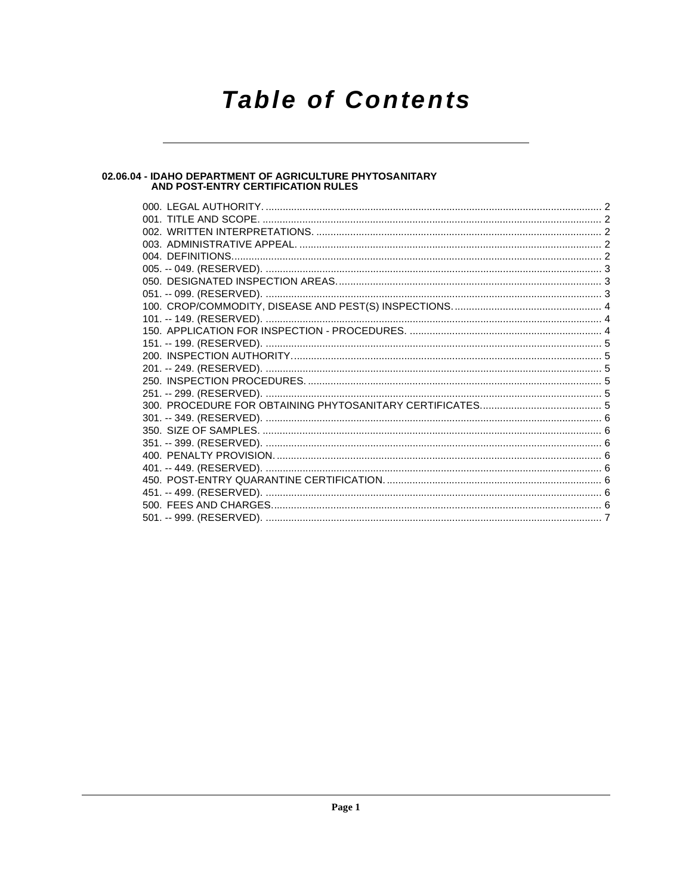# **Table of Contents**

# 02.06.04 - IDAHO DEPARTMENT OF AGRICULTURE PHYTOSANITARY<br>AND POST-ENTRY CERTIFICATION RULES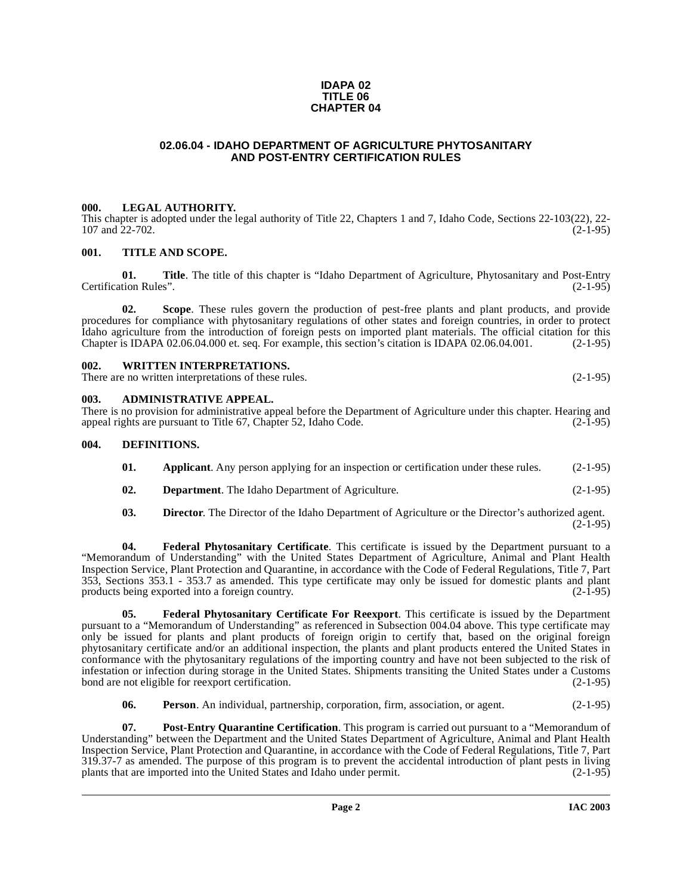#### **IDAPA 02 TITLE 06 CHAPTER 04**

# **02.06.04 - IDAHO DEPARTMENT OF AGRICULTURE PHYTOSANITARY AND POST-ENTRY CERTIFICATION RULES**

#### <span id="page-1-1"></span><span id="page-1-0"></span>**000. LEGAL AUTHORITY.**

This chapter is adopted under the legal authority of Title 22, Chapters 1 and 7, Idaho Code, Sections 22-103(22), 22-<br>107 and 22-702. (2-1-95)  $107$  and  $22-702$ .

#### <span id="page-1-2"></span>**001. TITLE AND SCOPE.**

**01.** Title. The title of this chapter is "Idaho Department of Agriculture, Phytosanitary and Post-Entry tion Rules". (2-1-95) Certification Rules".

**02. Scope**. These rules govern the production of pest-free plants and plant products, and provide procedures for compliance with phytosanitary regulations of other states and foreign countries, in order to protect Idaho agriculture from the introduction of foreign pests on imported plant materials. The official citation for this Chapter is IDAPA 02.06.04.000 et. seq. For example, this section's citation is IDAPA 02.06.04.001. (2-1-95)

#### <span id="page-1-3"></span>**002. WRITTEN INTERPRETATIONS.**

There are no written interpretations of these rules. (2-1-95)

#### <span id="page-1-4"></span>**003. ADMINISTRATIVE APPEAL.**

There is no provision for administrative appeal before the Department of Agriculture under this chapter. Hearing and appeal rights are pursuant to Title 67. Chapter 52. Idaho Code. (2-1-95) appeal rights are pursuant to Title 67, Chapter 52, Idaho Code.

#### <span id="page-1-5"></span>**004. DEFINITIONS.**

- <span id="page-1-6"></span>**01.** Applicant. Any person applying for an inspection or certification under these rules. (2-1-95)
- **02. Department**. The Idaho Department of Agriculture. (2-1-95)
- **03. Director**. The Director of the Idaho Department of Agriculture or the Director's authorized agent.  $(2-1-95)$

**04. Federal Phytosanitary Certificate**. This certificate is issued by the Department pursuant to a "Memorandum of Understanding" with the United States Department of Agriculture, Animal and Plant Health Inspection Service, Plant Protection and Quarantine, in accordance with the Code of Federal Regulations, Title 7, Part 353, Sections 353.1 - 353.7 as amended. This type certificate may only be issued for domestic plants and plant products being exported into a foreign country.

<span id="page-1-7"></span>**05. Federal Phytosanitary Certificate For Reexport**. This certificate is issued by the Department pursuant to a "Memorandum of Understanding" as referenced in Subsection 004.04 above. This type certificate may only be issued for plants and plant products of foreign origin to certify that, based on the original foreign phytosanitary certificate and/or an additional inspection, the plants and plant products entered the United States in conformance with the phytosanitary regulations of the importing country and have not been subjected to the risk of infestation or infection during storage in the United States. Shipments transiting the United States under a Customs bond are not eligible for reexport certification. (2-1-95)

<span id="page-1-8"></span>**06. Person**. An individual, partnership, corporation, firm, association, or agent. (2-1-95)

**07. Post-Entry Quarantine Certification**. This program is carried out pursuant to a "Memorandum of Understanding" between the Department and the United States Department of Agriculture, Animal and Plant Health Inspection Service, Plant Protection and Quarantine, in accordance with the Code of Federal Regulations, Title 7, Part 319.37-7 as amended. The purpose of this program is to prevent the accidental introduction of plant pests in living plants that are imported into the United States and Idaho under permit. (2-1-95)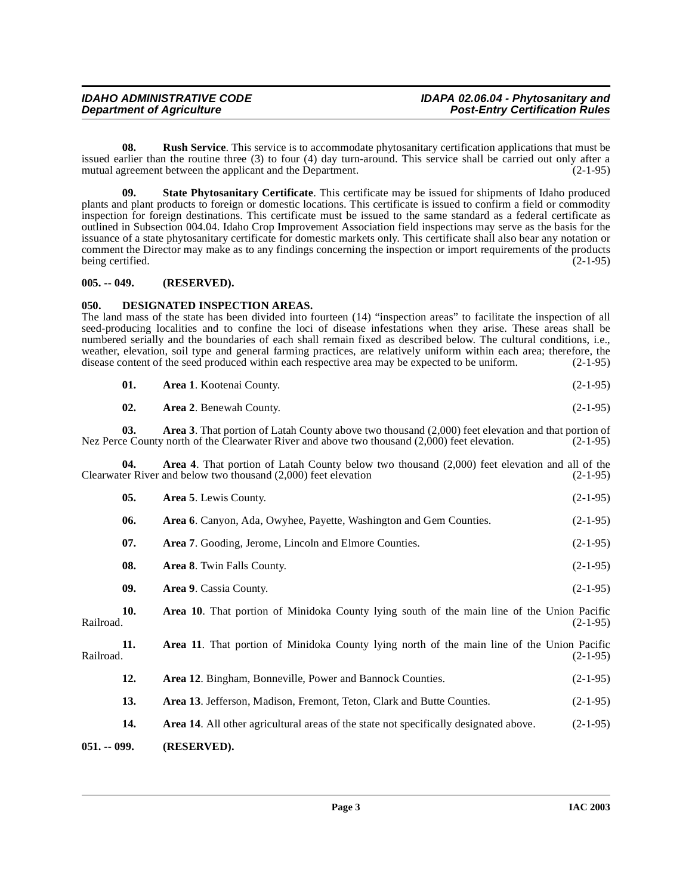<span id="page-2-4"></span>**08.** Rush Service. This service is to accommodate phytosanitary certification applications that must be issued earlier than the routine three (3) to four (4) day turn-around. This service shall be carried out only after a mutual agreement between the applicant and the Department. (2-1-95)

<span id="page-2-5"></span>**09. State Phytosanitary Certificate**. This certificate may be issued for shipments of Idaho produced plants and plant products to foreign or domestic locations. This certificate is issued to confirm a field or commodity inspection for foreign destinations. This certificate must be issued to the same standard as a federal certificate as outlined in Subsection 004.04. Idaho Crop Improvement Association field inspections may serve as the basis for the issuance of a state phytosanitary certificate for domestic markets only. This certificate shall also bear any notation or comment the Director may make as to any findings concerning the inspection or import requirements of the products being certified. (2-1-95) being certified.

# <span id="page-2-0"></span>**005. -- 049. (RESERVED).**

### <span id="page-2-3"></span><span id="page-2-1"></span>**050. DESIGNATED INSPECTION AREAS.**

The land mass of the state has been divided into fourteen (14) "inspection areas" to facilitate the inspection of all seed-producing localities and to confine the loci of disease infestations when they arise. These areas shall be numbered serially and the boundaries of each shall remain fixed as described below. The cultural conditions, i.e., weather, elevation, soil type and general farming practices, are relatively uniform within each area; therefore, the disease content of the seed produced within each respective area may be expected to be uniform. (2-1-95)

| 01. | <b>Area 1.</b> Kootenai County. | $(2-1-95)$ |
|-----|---------------------------------|------------|
|     |                                 |            |

**02.** Area 2. Benewah County. (2-1-95)

**03. Area 3**. That portion of Latah County above two thousand (2,000) feet elevation and that portion of Nez Perce County north of the Clearwater River and above two thousand (2,000) feet elevation. (2-1-95)

**04. Area 4**. That portion of Latah County below two thousand (2,000) feet elevation and all of the Clearwater River and below two thousand (2,000) feet elevation (2-1-95)

<span id="page-2-2"></span>

|              | 05. | Area 5. Lewis County.                                                                        | $(2-1-95)$ |
|--------------|-----|----------------------------------------------------------------------------------------------|------------|
|              | 06. | Area 6. Canyon, Ada, Owyhee, Payette, Washington and Gem Counties.                           | $(2-1-95)$ |
|              | 07. | Area 7. Gooding, Jerome, Lincoln and Elmore Counties.                                        | $(2-1-95)$ |
|              | 08. | Area 8. Twin Falls County.                                                                   | $(2-1-95)$ |
|              | 09. | <b>Area 9.</b> Cassia County.                                                                | $(2-1-95)$ |
| Railroad.    | 10. | Area 10. That portion of Minidoka County lying south of the main line of the Union Pacific   | $(2-1-95)$ |
| Railroad.    | 11. | Area 11. That portion of Minidoka County lying north of the main line of the Union Pacific   | $(2-1-95)$ |
|              | 12. | <b>Area 12.</b> Bingham, Bonneville, Power and Bannock Counties.                             | $(2-1-95)$ |
|              | 13. | Area 13. Jefferson, Madison, Fremont, Teton, Clark and Butte Counties.                       | $(2-1-95)$ |
|              | 14. | <b>Area 14.</b> All other agricultural areas of the state not specifically designated above. | $(2-1-95)$ |
| 051. -- 099. |     | (RESERVED).                                                                                  |            |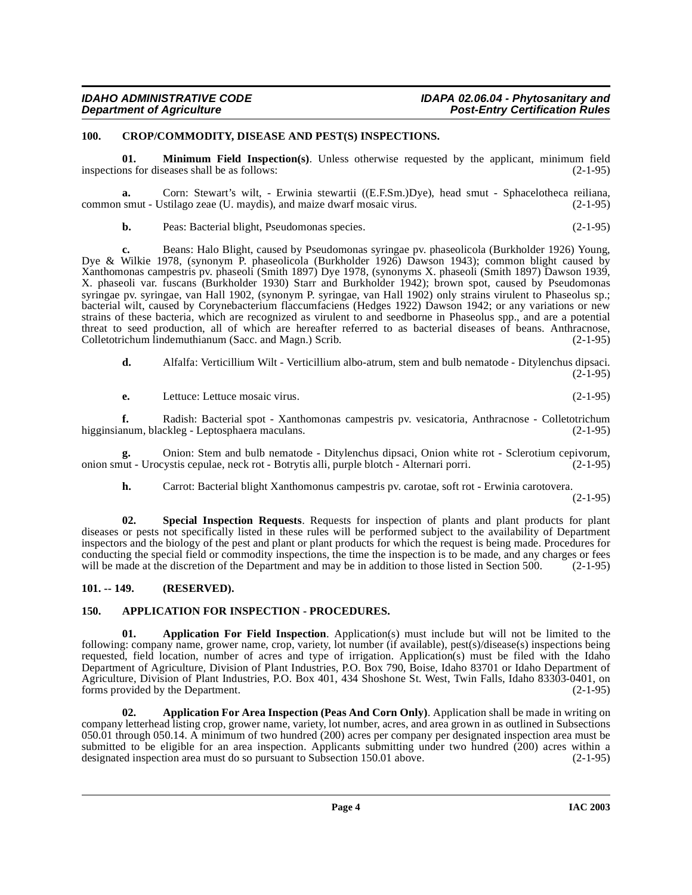## <span id="page-3-6"></span><span id="page-3-0"></span>**100. CROP/COMMODITY, DISEASE AND PEST(S) INSPECTIONS.**

<span id="page-3-7"></span>**01. Minimum Field Inspection(s)**. Unless otherwise requested by the applicant, minimum field inspections for diseases shall be as follows: (2-1-95)

**a.** Corn: Stewart's wilt, - Erwinia stewartii ((E.F.Sm.)Dye), head smut - Sphacelotheca reiliana, smut - Ustilago zeae (U. maydis), and maize dwarf mosaic virus. (2-1-95) common smut - Ustilago zeae (U. maydis), and maize dwarf mosaic virus.

**b.** Peas: Bacterial blight, Pseudomonas species. (2-1-95)

**c.** Beans: Halo Blight, caused by Pseudomonas syringae pv. phaseolicola (Burkholder 1926) Young, Dye & Wilkie 1978, (synonym P. phaseolicola (Burkholder 1926) Dawson 1943); common blight caused by Xanthomonas campestris pv. phaseoli (Smith 1897) Dye 1978, (synonyms X. phaseoli (Smith 1897) Dawson 1939, X. phaseoli var. fuscans (Burkholder 1930) Starr and Burkholder 1942); brown spot, caused by Pseudomonas syringae pv. syringae, van Hall 1902, (synonym P. syringae, van Hall 1902) only strains virulent to Phaseolus sp.; bacterial wilt, caused by Corynebacterium flaccumfaciens (Hedges 1922) Dawson 1942; or any variations or new strains of these bacteria, which are recognized as virulent to and seedborne in Phaseolus spp., and are a potential threat to seed production, all of which are hereafter referred to as bacterial diseases of beans. Anthracnose, Colletotrichum lindemuthianum (Sacc. and Magn.) Scrib. (2-1-95)

**d.** Alfalfa: Verticillium Wilt - Verticillium albo-atrum, stem and bulb nematode - Ditylenchus dipsaci.  $(2-1-95)$ 

**e.** Lettuce: Lettuce mosaic virus. (2-1-95)

**f.** Radish: Bacterial spot - Xanthomonas campestris pv. vesicatoria, Anthracnose - Colletotrichum num, blackleg - Leptosphaera maculans. (2-1-95) higginsianum, blackleg - Leptosphaera maculans.

**g.** Onion: Stem and bulb nematode - Ditylenchus dipsaci, Onion white rot - Sclerotium cepivorum, onion smut - Urocystis cepulae, neck rot - Botrytis alli, purple blotch - Alternari porri.

<span id="page-3-8"></span>**h.** Carrot: Bacterial blight Xanthomonus campestris pv. carotae, soft rot - Erwinia carotovera.

 $(2-1-95)$ 

**02. Special Inspection Requests**. Requests for inspection of plants and plant products for plant diseases or pests not specifically listed in these rules will be performed subject to the availability of Department inspectors and the biology of the pest and plant or plant products for which the request is being made. Procedures for conducting the special field or commodity inspections, the time the inspection is to be made, and any charges or fees will be made at the discretion of the Department and may be in addition to those listed in Section 500. (2-1-95)

# <span id="page-3-1"></span>**101. -- 149. (RESERVED).**

# <span id="page-3-5"></span><span id="page-3-2"></span>**150. APPLICATION FOR INSPECTION - PROCEDURES.**

<span id="page-3-4"></span>**01. Application For Field Inspection**. Application(s) must include but will not be limited to the following: company name, grower name, crop, variety, lot number (if available), pest(s)/disease(s) inspections being requested, field location, number of acres and type of irrigation. Application(s) must be filed with the Idaho Department of Agriculture, Division of Plant Industries, P.O. Box 790, Boise, Idaho 83701 or Idaho Department of Agriculture, Division of Plant Industries, P.O. Box 401, 434 Shoshone St. West, Twin Falls, Idaho 83303-0401, on forms provided by the Department. (2-1-95) forms provided by the Department.

<span id="page-3-3"></span>**02. Application For Area Inspection (Peas And Corn Only)**. Application shall be made in writing on company letterhead listing crop, grower name, variety, lot number, acres, and area grown in as outlined in Subsections 050.01 through 050.14. A minimum of two hundred (200) acres per company per designated inspection area must be submitted to be eligible for an area inspection. Applicants submitting under two hundred (200) acres within a designated inspection area must do so pursuant to Subsection 150.01 above. (2-1-95) designated inspection area must do so pursuant to Subsection 150.01 above.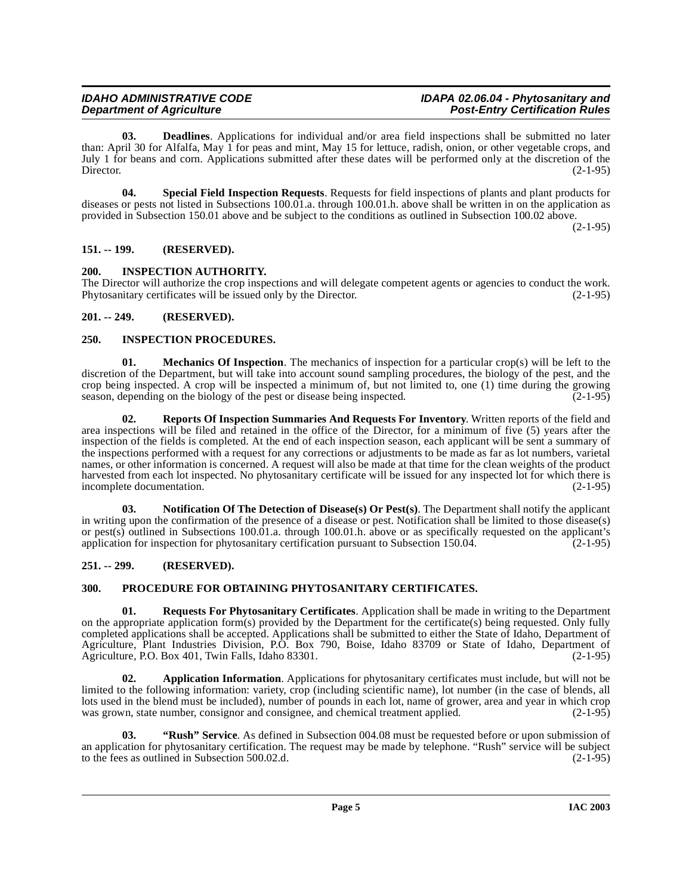<span id="page-4-7"></span>**03. Deadlines**. Applications for individual and/or area field inspections shall be submitted no later than: April 30 for Alfalfa, May 1 for peas and mint, May 15 for lettuce, radish, onion, or other vegetable crops, and July 1 for beans and corn. Applications submitted after these dates will be performed only at the discretion of the Director. (2-1-95)

<span id="page-4-14"></span>**04. Special Field Inspection Requests**. Requests for field inspections of plants and plant products for diseases or pests not listed in Subsections 100.01.a. through 100.01.h. above shall be written in on the application as provided in Subsection 150.01 above and be subject to the conditions as outlined in Subsection 100.02 above.

 $(2-1-95)$ 

# <span id="page-4-0"></span>**151. -- 199. (RESERVED).**

# <span id="page-4-8"></span><span id="page-4-1"></span>**200. INSPECTION AUTHORITY.**

The Director will authorize the crop inspections and will delegate competent agents or agencies to conduct the work. Phytosanitary certificates will be issued only by the Director. (2-1-95)

# <span id="page-4-2"></span>**201. -- 249. (RESERVED).**

# <span id="page-4-9"></span><span id="page-4-3"></span>**250. INSPECTION PROCEDURES.**

**01. Mechanics Of Inspection**. The mechanics of inspection for a particular crop(s) will be left to the discretion of the Department, but will take into account sound sampling procedures, the biology of the pest, and the crop being inspected. A crop will be inspected a minimum of, but not limited to, one (1) time during the growing season, depending on the biology of the pest or disease being inspected.  $(2-1-95)$ 

<span id="page-4-12"></span>**02. Reports Of Inspection Summaries And Requests For Inventory**. Written reports of the field and area inspections will be filed and retained in the office of the Director, for a minimum of five (5) years after the inspection of the fields is completed. At the end of each inspection season, each applicant will be sent a summary of the inspections performed with a request for any corrections or adjustments to be made as far as lot numbers, varietal names, or other information is concerned. A request will also be made at that time for the clean weights of the product harvested from each lot inspected. No phytosanitary certificate will be issued for any inspected lot for which there is incomplete documentation. (2-1-95)

<span id="page-4-10"></span>**03. Notification Of The Detection of Disease(s) Or Pest(s)**. The Department shall notify the applicant in writing upon the confirmation of the presence of a disease or pest. Notification shall be limited to those disease(s) or pest(s) outlined in Subsections 100.01.a. through 100.01.h. above or as specifically requested on the applicant's application for inspection for phytosanitary certification pursuant to Subsection 150.04.  $(2-1-95)$ 

# <span id="page-4-4"></span>**251. -- 299. (RESERVED).**

# <span id="page-4-11"></span><span id="page-4-5"></span>**300. PROCEDURE FOR OBTAINING PHYTOSANITARY CERTIFICATES.**

<span id="page-4-13"></span>**01. Requests For Phytosanitary Certificates**. Application shall be made in writing to the Department on the appropriate application form(s) provided by the Department for the certificate(s) being requested. Only fully completed applications shall be accepted. Applications shall be submitted to either the State of Idaho, Department of Agriculture, Plant Industries Division, P.O. Box 790, Boise, Idaho 83709 or State of Idaho, Department of Agriculture, P.O. Box 401, Twin Falls, Idaho 83301. (2-1-95)

<span id="page-4-6"></span>**02. Application Information**. Applications for phytosanitary certificates must include, but will not be limited to the following information: variety, crop (including scientific name), lot number (in the case of blends, all lots used in the blend must be included), number of pounds in each lot, name of grower, area and year in which crop was grown, state number, consignor and consignee, and chemical treatment applied.  $(2-1-95)$ 

**03. "Rush" Service**. As defined in Subsection 004.08 must be requested before or upon submission of an application for phytosanitary certification. The request may be made by telephone. "Rush" service will be subject to the fees as outlined in Subsection 500.02.d. (2-1-95) to the fees as outlined in Subsection 500.02.d.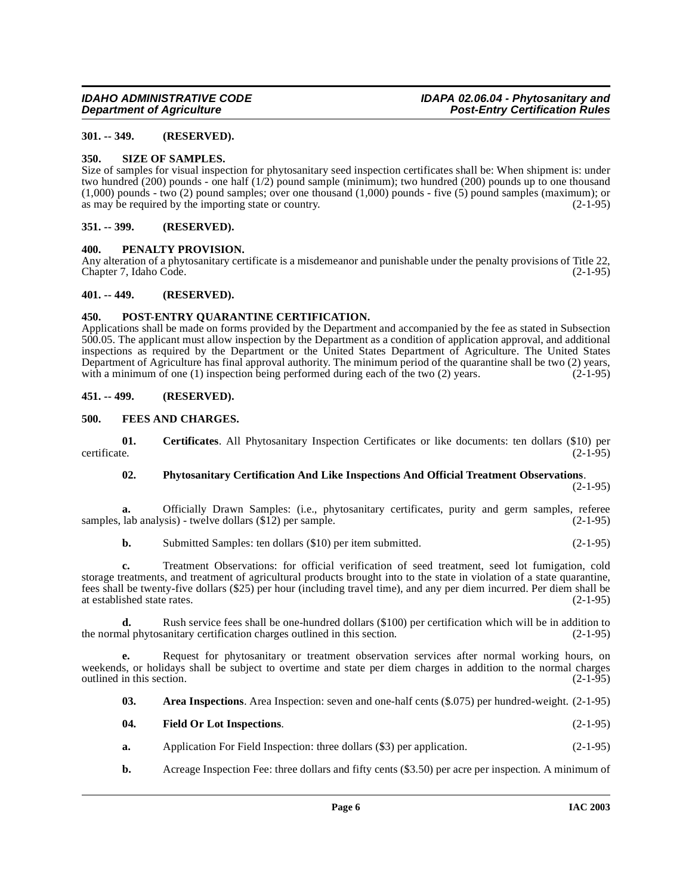# <span id="page-5-0"></span>**301. -- 349. (RESERVED).**

#### <span id="page-5-15"></span><span id="page-5-1"></span>**350. SIZE OF SAMPLES.**

Size of samples for visual inspection for phytosanitary seed inspection certificates shall be: When shipment is: under two hundred (200) pounds - one half (1/2) pound sample (minimum); two hundred (200) pounds up to one thousand  $(1,000)$  pounds - two  $(2)$  pound samples; over one thousand  $(1,000)$  pounds - five  $(5)$  pound samples (maximum); or as may be required by the importing state or country. as may be required by the importing state or country.

#### <span id="page-5-2"></span>**351. -- 399. (RESERVED).**

### <span id="page-5-12"></span><span id="page-5-3"></span>**400. PENALTY PROVISION.**

Any alteration of a phytosanitary certificate is a misdemeanor and punishable under the penalty provisions of Title 22,<br>Chapter 7. Idaho Code. (2-1-95) Chapter 7, Idaho Code.

#### <span id="page-5-4"></span>**401. -- 449. (RESERVED).**

# <span id="page-5-14"></span><span id="page-5-5"></span>**450. POST-ENTRY QUARANTINE CERTIFICATION.**

Applications shall be made on forms provided by the Department and accompanied by the fee as stated in Subsection 500.05. The applicant must allow inspection by the Department as a condition of application approval, and additional inspections as required by the Department or the United States Department of Agriculture. The United States Department of Agriculture has final approval authority. The minimum period of the quarantine shall be two (2) years, with a minimum of one (1) inspection being performed during each of the two (2) years.  $(2-1-95)$ 

### <span id="page-5-6"></span>**451. -- 499. (RESERVED).**

### <span id="page-5-10"></span><span id="page-5-7"></span>**500. FEES AND CHARGES.**

**01.** Certificates. All Phytosanitary Inspection Certificates or like documents: ten dollars (\$10) per certificate. (2-1-95) certificate. (2-1-95)

#### <span id="page-5-13"></span><span id="page-5-9"></span>**02. Phytosanitary Certification And Like Inspections And Official Treatment Observations**.

 $(2-1-95)$ 

**a.** Officially Drawn Samples: (i.e., phytosanitary certificates, purity and germ samples, referee lab analysis) - twelve dollars (\$12) per sample. (2-1-95) samples, lab analysis) - twelve dollars  $(\$12)$  per sample.

**b.** Submitted Samples: ten dollars (\$10) per item submitted. (2-1-95)

**c.** Treatment Observations: for official verification of seed treatment, seed lot fumigation, cold storage treatments, and treatment of agricultural products brought into to the state in violation of a state quarantine, fees shall be twenty-five dollars (\$25) per hour (including travel time), and any per diem incurred. Per diem shall be at established state rates. (2-1-95)

**d.** Rush service fees shall be one-hundred dollars (\$100) per certification which will be in addition to the normal phytosanitary certification charges outlined in this section. (2-1-95)

**e.** Request for phytosanitary or treatment observation services after normal working hours, on weekends, or holidays shall be subject to overtime and state per diem charges in addition to the normal charges outlined in this section. (2-1-95) outlined in this section.

<span id="page-5-8"></span>**03. Area Inspections**. Area Inspection: seven and one-half cents (\$.075) per hundred-weight. (2-1-95)

<span id="page-5-11"></span>

| 04. | <b>Field Or Lot Inspections.</b> | $(2-1-95)$ |
|-----|----------------------------------|------------|
|     |                                  |            |

- **a.** Application For Field Inspection: three dollars (\$3) per application. (2-1-95)
- **b.** Acreage Inspection Fee: three dollars and fifty cents (\$3.50) per acre per inspection. A minimum of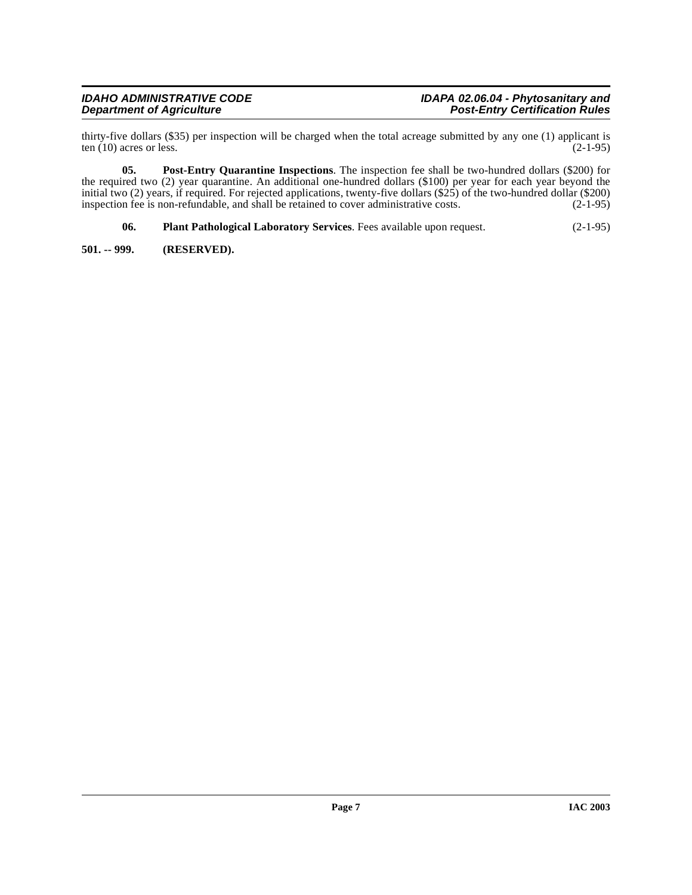thirty-five dollars (\$35) per inspection will be charged when the total acreage submitted by any one (1) applicant is ten (10) acres or less. (2-1-95) ten  $(10)$  acres or less.

**05. Post-Entry Quarantine Inspections**. The inspection fee shall be two-hundred dollars (\$200) for the required two (2) year quarantine. An additional one-hundred dollars (\$100) per year for each year beyond the initial two (2) years, if required. For rejected applications, twenty-five dollars  $(\$25)$  of the two-hundred dollar (\$200) inspection fee is non-refundable, and shall be retained to cover administrative costs. (2-1-95) inspection fee is non-refundable, and shall be retained to cover administrative costs.

<span id="page-6-2"></span><span id="page-6-1"></span>**06. Plant Pathological Laboratory Services**. Fees available upon request. (2-1-95)

<span id="page-6-0"></span>**501. -- 999. (RESERVED).**